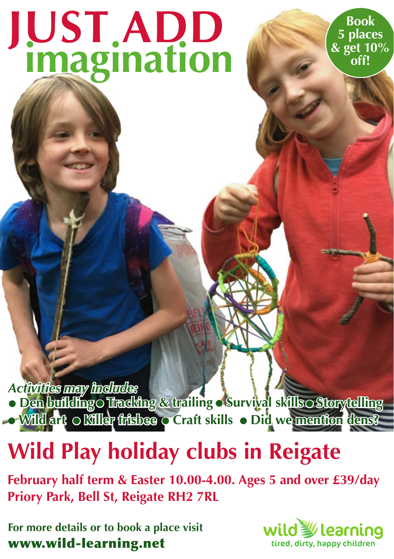# **imagination JUST ADD**

**Book 5 places & get 10% off!**

*Activities may include:*

● **Tracking & trailing** ● **Survival skills** ● **Wild art** ● **Den building** ● **Killer frisbee** ● **Craft skills** ● **Did we mention dens?** ● **Storytelling**

## **Wild Play holiday clubs in Reigate**

**February half term & Easter 10.00-4.00. Ages 5 and over £39/day Priory Park, Bell St, Reigate RH2 7RL**

**For more details or to book a place visit**  www.wild-learning.net